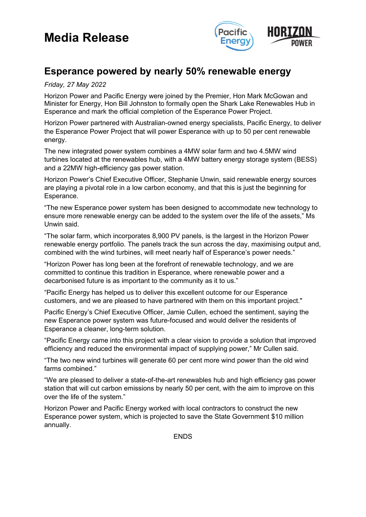# **Media Release**



### **Esperance powered by nearly 50% renewable energy**

#### *Friday, 27 May 2022*

Horizon Power and Pacific Energy were joined by the Premier, Hon Mark McGowan and Minister for Energy, Hon Bill Johnston to formally open the Shark Lake Renewables Hub in Esperance and mark the official completion of the Esperance Power Project.

Horizon Power partnered with Australian-owned energy specialists, Pacific Energy, to deliver the Esperance Power Project that will power Esperance with up to 50 per cent renewable energy.

The new integrated power system combines a 4MW solar farm and two 4.5MW wind turbines located at the renewables hub, with a 4MW battery energy storage system (BESS) and a 22MW high-efficiency gas power station.

Horizon Power's Chief Executive Officer, Stephanie Unwin, said renewable energy sources are playing a pivotal role in a low carbon economy, and that this is just the beginning for Esperance.

"The new Esperance power system has been designed to accommodate new technology to ensure more renewable energy can be added to the system over the life of the assets," Ms Unwin said.

"The solar farm, which incorporates 8,900 PV panels, is the largest in the Horizon Power renewable energy portfolio. The panels track the sun across the day, maximising output and, combined with the wind turbines, will meet nearly half of Esperance's power needs."

"Horizon Power has long been at the forefront of renewable technology, and we are committed to continue this tradition in Esperance, where renewable power and a decarbonised future is as important to the community as it to us."

"Pacific Energy has helped us to deliver this excellent outcome for our Esperance customers, and we are pleased to have partnered with them on this important project."

Pacific Energy's Chief Executive Officer, Jamie Cullen, echoed the sentiment, saying the new Esperance power system was future-focused and would deliver the residents of Esperance a cleaner, long-term solution.

"Pacific Energy came into this project with a clear vision to provide a solution that improved efficiency and reduced the environmental impact of supplying power," Mr Cullen said.

"The two new wind turbines will generate 60 per cent more wind power than the old wind farms combined."

"We are pleased to deliver a state-of-the-art renewables hub and high efficiency gas power station that will cut carbon emissions by nearly 50 per cent, with the aim to improve on this over the life of the system."

Horizon Power and Pacific Energy worked with local contractors to construct the new Esperance power system, which is projected to save the State Government \$10 million annually.

**ENDS**